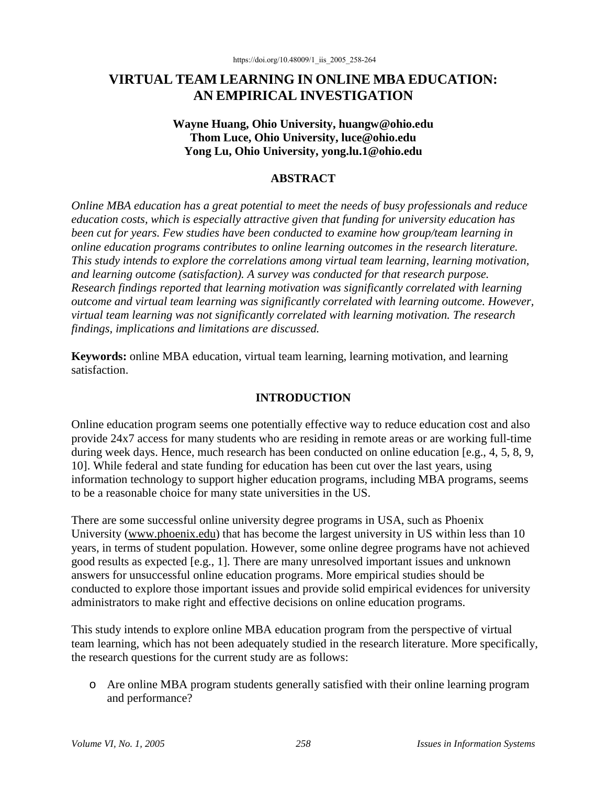# **VIRTUAL TEAM LEARNING IN ONLINE MBA EDUCATION: AN EMPIRICAL INVESTIGATION**

### **Wayne Huang, Ohio University, huangw@ohio.edu Thom Luce, Ohio University, luce@ohio.edu Yong Lu, Ohio University, yong.lu.1@ohio.edu**

## **ABSTRACT**

*Online MBA education has a great potential to meet the needs of busy professionals and reduce education costs, which is especially attractive given that funding for university education has been cut for years. Few studies have been conducted to examine how group/team learning in online education programs contributes to online learning outcomes in the research literature. This study intends to explore the correlations among virtual team learning, learning motivation, and learning outcome (satisfaction). A survey was conducted for that research purpose. Research findings reported that learning motivation was significantly correlated with learning outcome and virtual team learning was significantly correlated with learning outcome. However, virtual team learning was not significantly correlated with learning motivation. The research findings, implications and limitations are discussed.*

**Keywords:** online MBA education, virtual team learning, learning motivation, and learning satisfaction.

# **INTRODUCTION**

Online education program seems one potentially effective way to reduce education cost and also provide 24x7 access for many students who are residing in remote areas or are working full-time during week days. Hence, much research has been conducted on online education [e.g., 4, 5, 8, 9, 10]. While federal and state funding for education has been cut over the last years, using information technology to support higher education programs, including MBA programs, seems to be a reasonable choice for many state universities in the US.

There are some successful online university degree programs in USA, such as Phoenix University (www.phoenix.edu) that has become the largest university in US within less than 10 years, in terms of student population. However, some online degree programs have not achieved good results as expected [e.g., 1]. There are many unresolved important issues and unknown answers for unsuccessful online education programs. More empirical studies should be conducted to explore those important issues and provide solid empirical evidences for university administrators to make right and effective decisions on online education programs.

This study intends to explore online MBA education program from the perspective of virtual team learning, which has not been adequately studied in the research literature. More specifically, the research questions for the current study are as follows:

o Are online MBA program students generally satisfied with their online learning program and performance?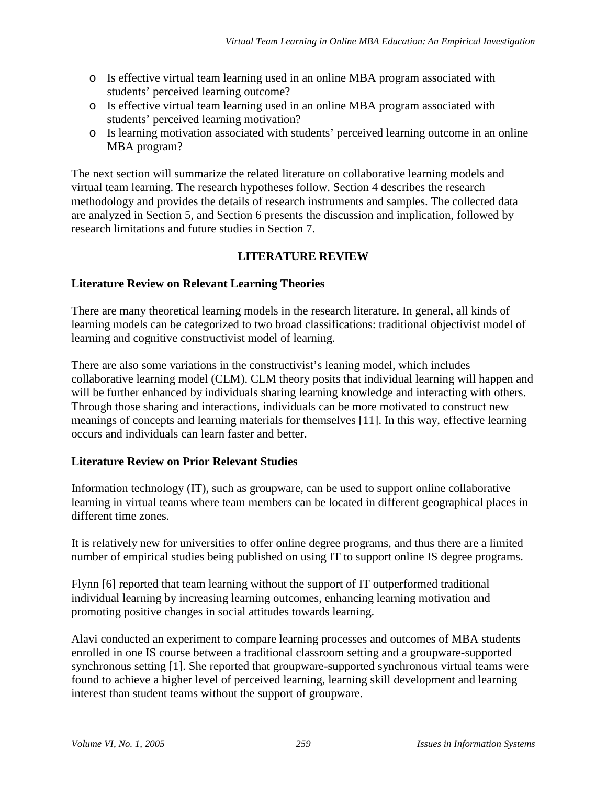- o Is effective virtual team learning used in an online MBA program associated with students' perceived learning outcome?
- o Is effective virtual team learning used in an online MBA program associated with students' perceived learning motivation?
- o Is learning motivation associated with students' perceived learning outcome in an online MBA program?

The next section will summarize the related literature on collaborative learning models and virtual team learning. The research hypotheses follow. Section 4 describes the research methodology and provides the details of research instruments and samples. The collected data are analyzed in Section 5, and Section 6 presents the discussion and implication, followed by research limitations and future studies in Section 7.

# **LITERATURE REVIEW**

# **Literature Review on Relevant Learning Theories**

There are many theoretical learning models in the research literature. In general, all kinds of learning models can be categorized to two broad classifications: traditional objectivist model of learning and cognitive constructivist model of learning.

There are also some variations in the constructivist's leaning model, which includes collaborative learning model (CLM). CLM theory posits that individual learning will happen and will be further enhanced by individuals sharing learning knowledge and interacting with others. Through those sharing and interactions, individuals can be more motivated to construct new meanings of concepts and learning materials for themselves [11]. In this way, effective learning occurs and individuals can learn faster and better.

### **Literature Review on Prior Relevant Studies**

Information technology (IT), such as groupware, can be used to support online collaborative learning in virtual teams where team members can be located in different geographical places in different time zones.

It is relatively new for universities to offer online degree programs, and thus there are a limited number of empirical studies being published on using IT to support online IS degree programs.

Flynn [6] reported that team learning without the support of IT outperformed traditional individual learning by increasing learning outcomes, enhancing learning motivation and promoting positive changes in social attitudes towards learning.

Alavi conducted an experiment to compare learning processes and outcomes of MBA students enrolled in one IS course between a traditional classroom setting and a groupware-supported synchronous setting [1]. She reported that groupware-supported synchronous virtual teams were found to achieve a higher level of perceived learning, learning skill development and learning interest than student teams without the support of groupware.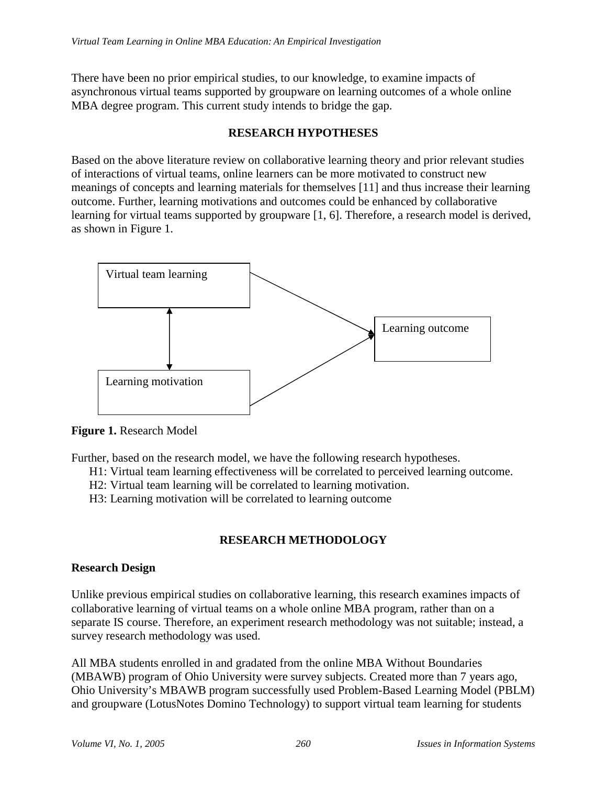There have been no prior empirical studies, to our knowledge, to examine impacts of asynchronous virtual teams supported by groupware on learning outcomes of a whole online MBA degree program. This current study intends to bridge the gap.

### **RESEARCH HYPOTHESES**

Based on the above literature review on collaborative learning theory and prior relevant studies of interactions of virtual teams, online learners can be more motivated to construct new meanings of concepts and learning materials for themselves [11] and thus increase their learning outcome. Further, learning motivations and outcomes could be enhanced by collaborative learning for virtual teams supported by groupware [1, 6]. Therefore, a research model is derived, as shown in Figure 1.



**Figure 1.** Research Model

Further, based on the research model, we have the following research hypotheses.

- H1: Virtual team learning effectiveness will be correlated to perceived learning outcome.
- H2: Virtual team learning will be correlated to learning motivation.
- H3: Learning motivation will be correlated to learning outcome

# **RESEARCH METHODOLOGY**

### **Research Design**

Unlike previous empirical studies on collaborative learning, this research examines impacts of collaborative learning of virtual teams on a whole online MBA program, rather than on a separate IS course. Therefore, an experiment research methodology was not suitable; instead, a survey research methodology was used.

All MBA students enrolled in and gradated from the online MBA Without Boundaries (MBAWB) program of Ohio University were survey subjects. Created more than 7 years ago, Ohio University's MBAWB program successfully used Problem-Based Learning Model (PBLM) and groupware (LotusNotes Domino Technology) to support virtual team learning for students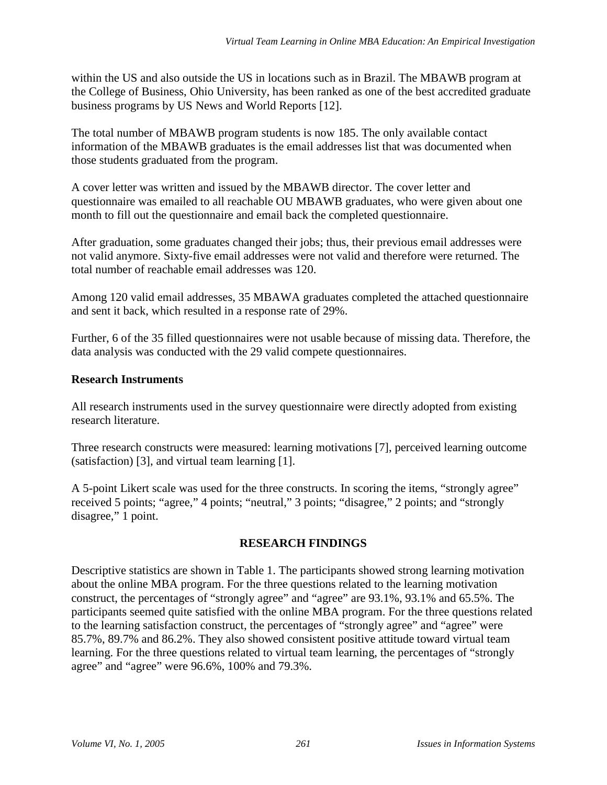within the US and also outside the US in locations such as in Brazil. The MBAWB program at the College of Business, Ohio University, has been ranked as one of the best accredited graduate business programs by US News and World Reports [12].

The total number of MBAWB program students is now 185. The only available contact information of the MBAWB graduates is the email addresses list that was documented when those students graduated from the program.

A cover letter was written and issued by the MBAWB director. The cover letter and questionnaire was emailed to all reachable OU MBAWB graduates, who were given about one month to fill out the questionnaire and email back the completed questionnaire.

After graduation, some graduates changed their jobs; thus, their previous email addresses were not valid anymore. Sixty-five email addresses were not valid and therefore were returned. The total number of reachable email addresses was 120.

Among 120 valid email addresses, 35 MBAWA graduates completed the attached questionnaire and sent it back, which resulted in a response rate of 29%.

Further, 6 of the 35 filled questionnaires were not usable because of missing data. Therefore, the data analysis was conducted with the 29 valid compete questionnaires.

# **Research Instruments**

All research instruments used in the survey questionnaire were directly adopted from existing research literature.

Three research constructs were measured: learning motivations [7], perceived learning outcome (satisfaction) [3], and virtual team learning [1].

A 5-point Likert scale was used for the three constructs. In scoring the items, "strongly agree" received 5 points; "agree," 4 points; "neutral," 3 points; "disagree," 2 points; and "strongly disagree," 1 point.

### **RESEARCH FINDINGS**

Descriptive statistics are shown in Table 1. The participants showed strong learning motivation about the online MBA program. For the three questions related to the learning motivation construct, the percentages of "strongly agree" and "agree" are 93.1%, 93.1% and 65.5%. The participants seemed quite satisfied with the online MBA program. For the three questions related to the learning satisfaction construct, the percentages of "strongly agree" and "agree" were 85.7%, 89.7% and 86.2%. They also showed consistent positive attitude toward virtual team learning. For the three questions related to virtual team learning, the percentages of "strongly agree" and "agree" were 96.6%, 100% and 79.3%.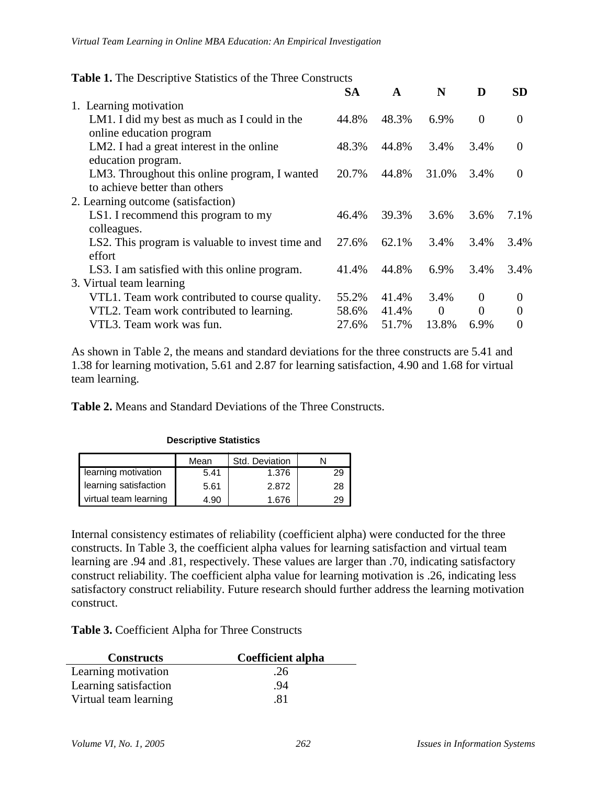| Table 1. The Descriptive Statistics of the Three Constructs                                                            |                         |                         |                           |                       |                                  |  |  |
|------------------------------------------------------------------------------------------------------------------------|-------------------------|-------------------------|---------------------------|-----------------------|----------------------------------|--|--|
|                                                                                                                        | <b>SA</b>               | $\mathbf{A}$            | N                         | D                     | <b>SD</b>                        |  |  |
| 1. Learning motivation                                                                                                 |                         |                         |                           |                       |                                  |  |  |
| LM1. I did my best as much as I could in the<br>online education program                                               | 44.8%                   | 48.3%                   | 6.9%                      | $\overline{0}$        | $\Omega$                         |  |  |
| LM2. I had a great interest in the online<br>education program.                                                        | 48.3%                   | 44.8%                   | 3.4%                      | 3.4%                  | $\Omega$                         |  |  |
| LM3. Throughout this online program, I wanted<br>to achieve better than others                                         | 20.7%                   | 44.8%                   | 31.0%                     | 3.4%                  | 0                                |  |  |
| 2. Learning outcome (satisfaction)                                                                                     |                         |                         |                           |                       |                                  |  |  |
| LS1. I recommend this program to my<br>colleagues.                                                                     | 46.4%                   | 39.3%                   | 3.6%                      | 3.6%                  | 7.1%                             |  |  |
| LS2. This program is valuable to invest time and<br>effort                                                             | 27.6%                   | 62.1%                   | 3.4%                      | 3.4%                  | 3.4%                             |  |  |
| LS3. I am satisfied with this online program.<br>3. Virtual team learning                                              | 41.4%                   | 44.8%                   | 6.9%                      | 3.4%                  | 3.4%                             |  |  |
| VTL1. Team work contributed to course quality.<br>VTL2. Team work contributed to learning.<br>VTL3. Team work was fun. | 55.2%<br>58.6%<br>27.6% | 41.4%<br>41.4%<br>51.7% | 3.4%<br>$\theta$<br>13.8% | $\theta$<br>0<br>6.9% | $\Omega$<br>$\theta$<br>$\Omega$ |  |  |
|                                                                                                                        |                         |                         |                           |                       |                                  |  |  |

As shown in Table 2, the means and standard deviations for the three constructs are 5.41 and 1.38 for learning motivation, 5.61 and 2.87 for learning satisfaction, 4.90 and 1.68 for virtual team learning.

**Table 2.** Means and Standard Deviations of the Three Constructs.

|                       | Mean | Std. Deviation |    |
|-----------------------|------|----------------|----|
| learning motivation   | 5.41 | 1.376          | 29 |
| learning satisfaction | 5.61 | 2.872          | 28 |
| virtual team learning | 4.90 | 1.676          |    |

**Descriptive Statistics**

Internal consistency estimates of reliability (coefficient alpha) were conducted for the three constructs. In Table 3, the coefficient alpha values for learning satisfaction and virtual team learning are .94 and .81, respectively. These values are larger than .70, indicating satisfactory construct reliability. The coefficient alpha value for learning motivation is .26, indicating less satisfactory construct reliability. Future research should further address the learning motivation construct.

**Table 3.** Coefficient Alpha for Three Constructs

| <b>Constructs</b>     | <b>Coefficient alpha</b> |  |  |
|-----------------------|--------------------------|--|--|
| Learning motivation   | .26                      |  |  |
| Learning satisfaction | .94                      |  |  |
| Virtual team learning | .81                      |  |  |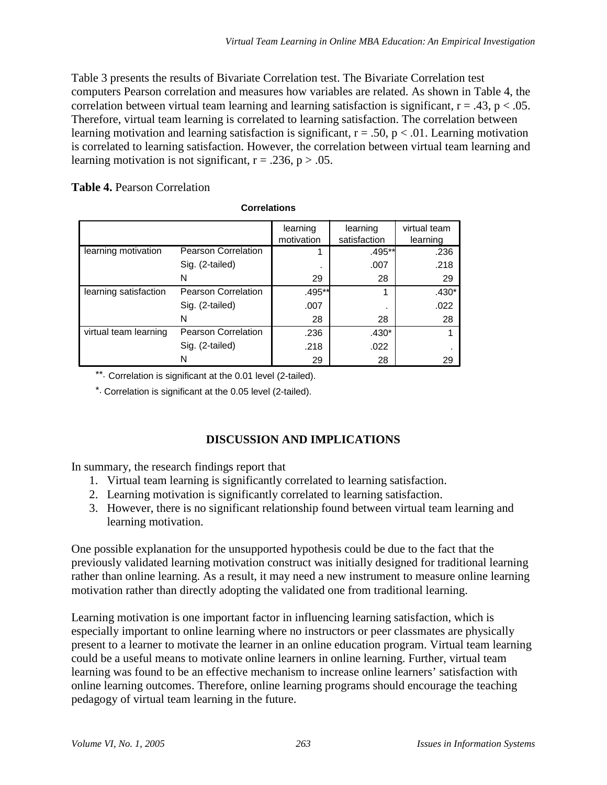Table 3 presents the results of Bivariate Correlation test. The Bivariate Correlation test computers Pearson correlation and measures how variables are related. As shown in Table 4, the correlation between virtual team learning and learning satisfaction is significant,  $r = .43$ ,  $p < .05$ . Therefore, virtual team learning is correlated to learning satisfaction. The correlation between learning motivation and learning satisfaction is significant,  $r = .50$ ,  $p < .01$ . Learning motivation is correlated to learning satisfaction. However, the correlation between virtual team learning and learning motivation is not significant,  $r = .236$ ,  $p > .05$ .

#### **Table 4.** Pearson Correlation

|                       |                            | learning   | learning     | virtual team |
|-----------------------|----------------------------|------------|--------------|--------------|
|                       |                            | motivation | satisfaction | learning     |
| learning motivation   | <b>Pearson Correlation</b> |            | .495**       | .236         |
|                       | Sig. (2-tailed)            |            | .007         | .218         |
|                       | N                          | 29         | 28           | 29           |
| learning satisfaction | <b>Pearson Correlation</b> | .495**     | 1            | $.430*$      |
|                       | Sig. (2-tailed)            | .007       |              | .022         |
|                       | N                          | 28         | 28           | 28           |
| virtual team learning | <b>Pearson Correlation</b> | .236       | $.430*$      |              |
|                       | Sig. (2-tailed)            | .218       | .022         |              |
|                       | N                          | 29         | 28           | 29           |

\*\*. Correlation is significant at the 0.01 level (2-tailed).

\*. Correlation is significant at the 0.05 level (2-tailed).

# **DISCUSSION AND IMPLICATIONS**

In summary, the research findings report that

- 1. Virtual team learning is significantly correlated to learning satisfaction.
- 2. Learning motivation is significantly correlated to learning satisfaction.
- 3. However, there is no significant relationship found between virtual team learning and learning motivation.

One possible explanation for the unsupported hypothesis could be due to the fact that the previously validated learning motivation construct was initially designed for traditional learning rather than online learning. As a result, it may need a new instrument to measure online learning motivation rather than directly adopting the validated one from traditional learning.

Learning motivation is one important factor in influencing learning satisfaction, which is especially important to online learning where no instructors or peer classmates are physically present to a learner to motivate the learner in an online education program. Virtual team learning could be a useful means to motivate online learners in online learning. Further, virtual team learning was found to be an effective mechanism to increase online learners' satisfaction with online learning outcomes. Therefore, online learning programs should encourage the teaching pedagogy of virtual team learning in the future.